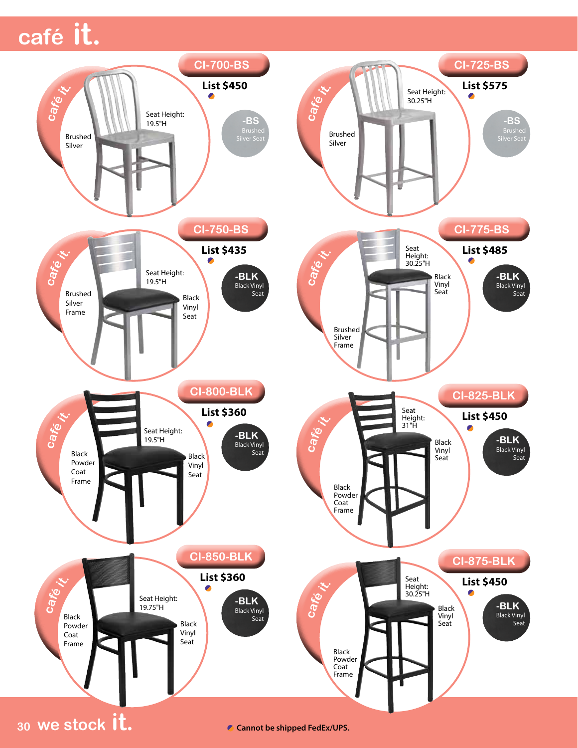## **café it. café it.**